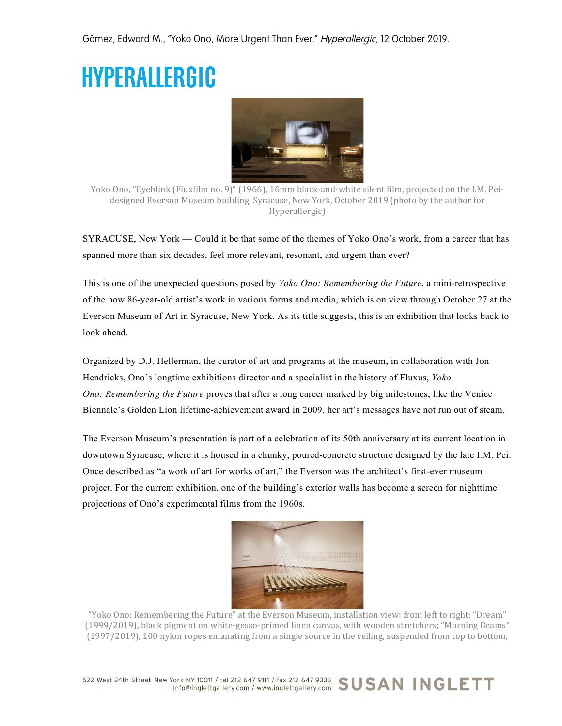## **HYPERALLERGIC**



Yoko Ono, "Eyeblink (Fluxfilm no. 9)" (1966), 16mm black-and-white silent film, projected on the I.M. Peidesigned Everson Museum building, Syracuse, New York, October 2019 (photo by the author for Hyperallergic)

SYRACUSE, New York — Could it be that some of the themes of Yoko Ono's work, from a career that has spanned more than six decades, feel more relevant, resonant, and urgent than ever?

This is one of the unexpected questions posed by *Yoko Ono: Remembering the Future*, a mini-retrospective of the now 86-year-old artist's work in various forms and media, which is on view through October 27 at the Everson Museum of Art in Syracuse, New York. As its title suggests, this is an exhibition that looks back to look ahead.

Organized by D.J. Hellerman, the curator of art and programs at the museum, in collaboration with Jon Hendricks, Ono's longtime exhibitions director and a specialist in the history of Fluxus, *Yoko Ono: Remembering the Future* proves that after a long career marked by big milestones, like the Venice Biennale's Golden Lion lifetime-achievement award in 2009, her art's messages have not run out of steam.

The Everson Museum's presentation is part of a celebration of its 50th anniversary at its current location in downtown Syracuse, where it is housed in a chunky, poured-concrete structure designed by the late I.M. Pei. Once described as "a work of art for works of art," the Everson was the architect's first-ever museum project. For the current exhibition, one of the building's exterior walls has become a screen for nighttime projections of Ono's experimental films from the 1960s.



"Yoko Ono: Remembering the Future" at the Everson Museum, installation view: from left to right: "Dream" (1999/2019), black pigment on white-gesso-primed linen canvas, with wooden stretchers; "Morning Beams" (1997/2019), 100 nylon ropes emanating from a single source in the ceiling, suspended from top to bottom,

522 West 24th Street New York NY 10011 / tel 212 647 9111 / fax 212 647 9333 SUSAN INGLETT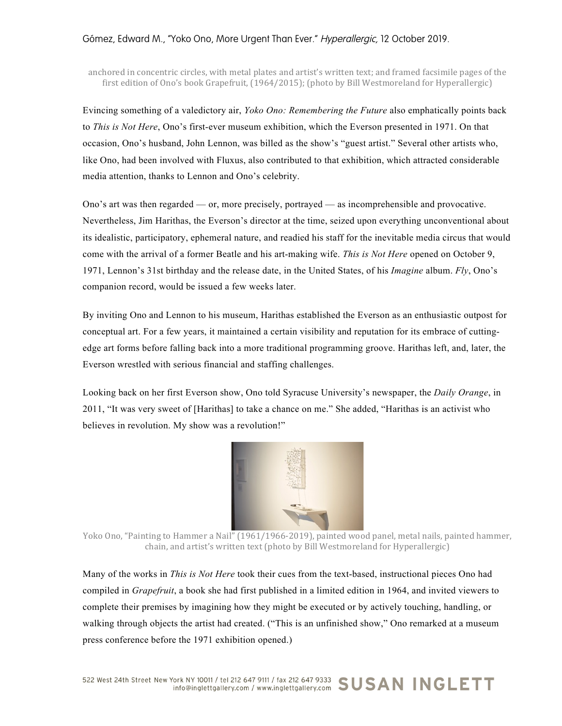## Gómez, Edward M., "Yoko Ono, More Urgent Than Ever." Hyperallergic, 12 October 2019.

anchored in concentric circles, with metal plates and artist's written text; and framed facsimile pages of the first edition of Ono's book Grapefruit,  $(1964/2015)$ ; (photo by Bill Westmoreland for Hyperallergic)

Evincing something of a valedictory air, *Yoko Ono: Remembering the Future* also emphatically points back to *This is Not Here*, Ono's first-ever museum exhibition, which the Everson presented in 1971. On that occasion, Ono's husband, John Lennon, was billed as the show's "guest artist." Several other artists who, like Ono, had been involved with Fluxus, also contributed to that exhibition, which attracted considerable media attention, thanks to Lennon and Ono's celebrity.

Ono's art was then regarded — or, more precisely, portrayed — as incomprehensible and provocative. Nevertheless, Jim Harithas, the Everson's director at the time, seized upon everything unconventional about its idealistic, participatory, ephemeral nature, and readied his staff for the inevitable media circus that would come with the arrival of a former Beatle and his art-making wife. *This is Not Here* opened on October 9, 1971, Lennon's 31st birthday and the release date, in the United States, of his *Imagine* album. *Fly*, Ono's companion record, would be issued a few weeks later.

By inviting Ono and Lennon to his museum, Harithas established the Everson as an enthusiastic outpost for conceptual art. For a few years, it maintained a certain visibility and reputation for its embrace of cuttingedge art forms before falling back into a more traditional programming groove. Harithas left, and, later, the Everson wrestled with serious financial and staffing challenges.

Looking back on her first Everson show, Ono told Syracuse University's newspaper, the *Daily Orange*, in 2011, "It was very sweet of [Harithas] to take a chance on me." She added, "Harithas is an activist who believes in revolution. My show was a revolution!"



Yoko Ono, "Painting to Hammer a Nail" (1961/1966-2019), painted wood panel, metal nails, painted hammer, chain, and artist's written text (photo by Bill Westmoreland for Hyperallergic)

Many of the works in *This is Not Here* took their cues from the text-based, instructional pieces Ono had compiled in *Grapefruit*, a book she had first published in a limited edition in 1964, and invited viewers to complete their premises by imagining how they might be executed or by actively touching, handling, or walking through objects the artist had created. ("This is an unfinished show," Ono remarked at a museum press conference before the 1971 exhibition opened.)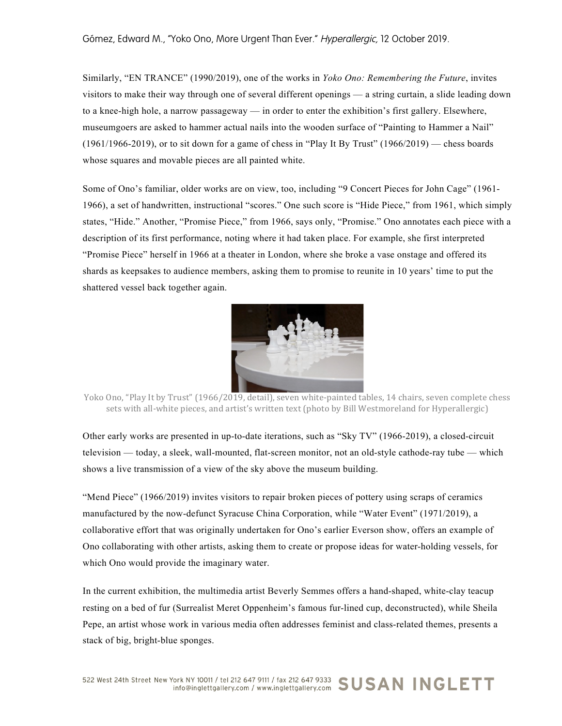Similarly, "EN TRANCE" (1990/2019), one of the works in *Yoko Ono: Remembering the Future*, invites visitors to make their way through one of several different openings — a string curtain, a slide leading down to a knee-high hole, a narrow passageway — in order to enter the exhibition's first gallery. Elsewhere, museumgoers are asked to hammer actual nails into the wooden surface of "Painting to Hammer a Nail"  $(1961/1966-2019)$ , or to sit down for a game of chess in "Play It By Trust"  $(1966/2019)$  — chess boards whose squares and movable pieces are all painted white.

Some of Ono's familiar, older works are on view, too, including "9 Concert Pieces for John Cage" (1961- 1966), a set of handwritten, instructional "scores." One such score is "Hide Piece," from 1961, which simply states, "Hide." Another, "Promise Piece," from 1966, says only, "Promise." Ono annotates each piece with a description of its first performance, noting where it had taken place. For example, she first interpreted "Promise Piece" herself in 1966 at a theater in London, where she broke a vase onstage and offered its shards as keepsakes to audience members, asking them to promise to reunite in 10 years' time to put the shattered vessel back together again.



Yoko Ono, "Play It by Trust" (1966/2019, detail), seven white-painted tables, 14 chairs, seven complete chess sets with all-white pieces, and artist's written text (photo by Bill Westmoreland for Hyperallergic)

Other early works are presented in up-to-date iterations, such as "Sky TV" (1966-2019), a closed-circuit television — today, a sleek, wall-mounted, flat-screen monitor, not an old-style cathode-ray tube — which shows a live transmission of a view of the sky above the museum building.

"Mend Piece" (1966/2019) invites visitors to repair broken pieces of pottery using scraps of ceramics manufactured by the now-defunct Syracuse China Corporation, while "Water Event" (1971/2019), a collaborative effort that was originally undertaken for Ono's earlier Everson show, offers an example of Ono collaborating with other artists, asking them to create or propose ideas for water-holding vessels, for which Ono would provide the imaginary water.

In the current exhibition, the multimedia artist Beverly Semmes offers a hand-shaped, white-clay teacup resting on a bed of fur (Surrealist Meret Oppenheim's famous fur-lined cup, deconstructed), while Sheila Pepe, an artist whose work in various media often addresses feminist and class-related themes, presents a stack of big, bright-blue sponges.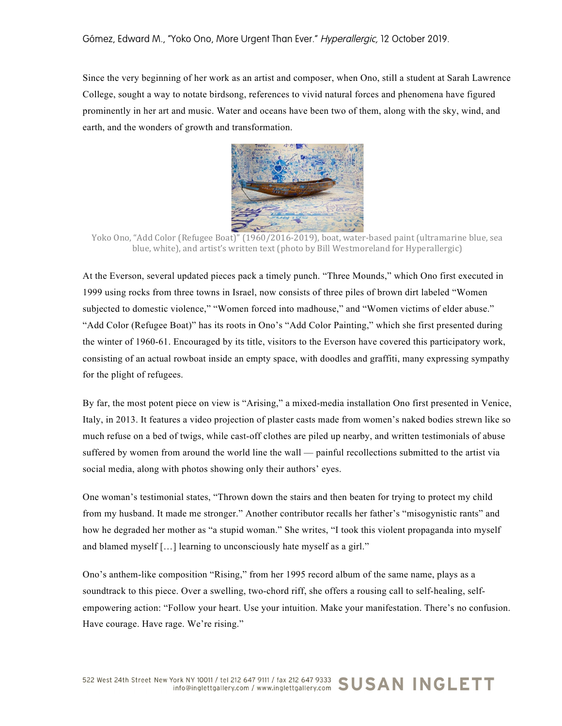Since the very beginning of her work as an artist and composer, when Ono, still a student at Sarah Lawrence College, sought a way to notate birdsong, references to vivid natural forces and phenomena have figured prominently in her art and music. Water and oceans have been two of them, along with the sky, wind, and earth, and the wonders of growth and transformation.



Yoko Ono, "Add Color (Refugee Boat)" (1960/2016-2019), boat, water-based paint (ultramarine blue, sea blue, white), and artist's written text (photo by Bill Westmoreland for Hyperallergic)

At the Everson, several updated pieces pack a timely punch. "Three Mounds," which Ono first executed in 1999 using rocks from three towns in Israel, now consists of three piles of brown dirt labeled "Women subjected to domestic violence," "Women forced into madhouse," and "Women victims of elder abuse." "Add Color (Refugee Boat)" has its roots in Ono's "Add Color Painting," which she first presented during the winter of 1960-61. Encouraged by its title, visitors to the Everson have covered this participatory work, consisting of an actual rowboat inside an empty space, with doodles and graffiti, many expressing sympathy for the plight of refugees.

By far, the most potent piece on view is "Arising," a mixed-media installation Ono first presented in Venice, Italy, in 2013. It features a video projection of plaster casts made from women's naked bodies strewn like so much refuse on a bed of twigs, while cast-off clothes are piled up nearby, and written testimonials of abuse suffered by women from around the world line the wall — painful recollections submitted to the artist via social media, along with photos showing only their authors' eyes.

One woman's testimonial states, "Thrown down the stairs and then beaten for trying to protect my child from my husband. It made me stronger." Another contributor recalls her father's "misogynistic rants" and how he degraded her mother as "a stupid woman." She writes, "I took this violent propaganda into myself and blamed myself […] learning to unconsciously hate myself as a girl."

Ono's anthem-like composition "Rising," from her 1995 record album of the same name, plays as a soundtrack to this piece. Over a swelling, two-chord riff, she offers a rousing call to self-healing, selfempowering action: "Follow your heart. Use your intuition. Make your manifestation. There's no confusion. Have courage. Have rage. We're rising."